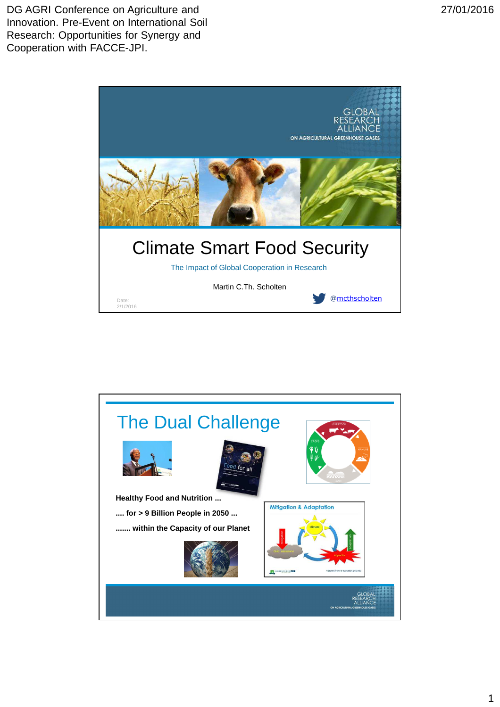

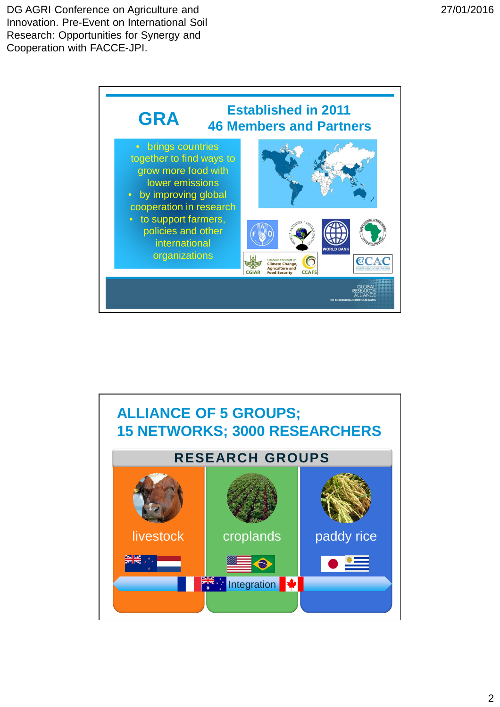

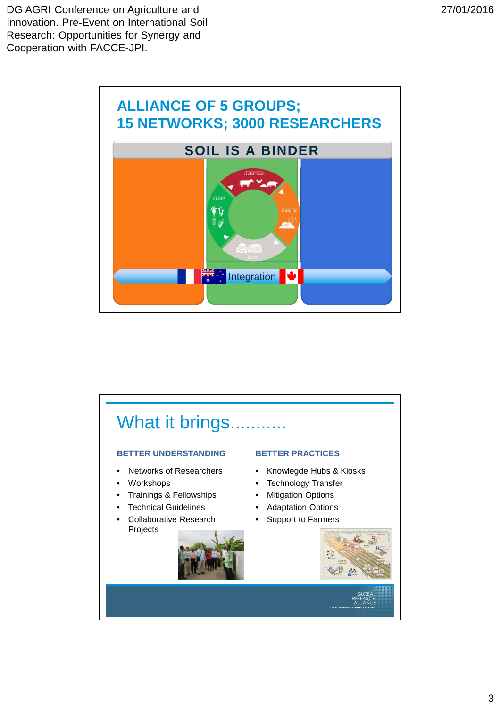

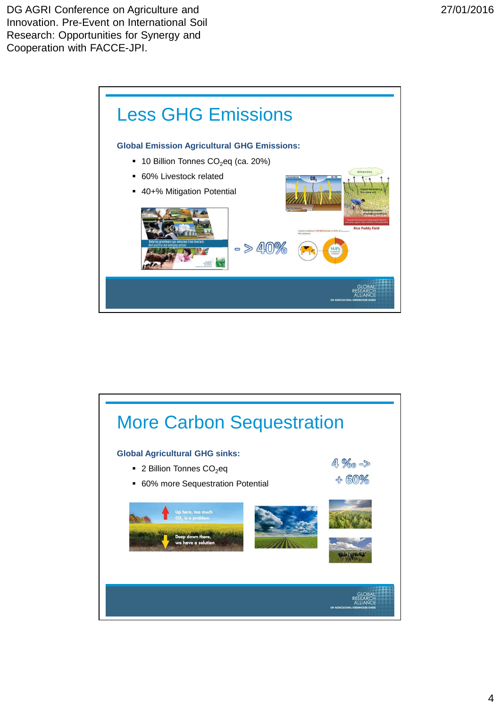

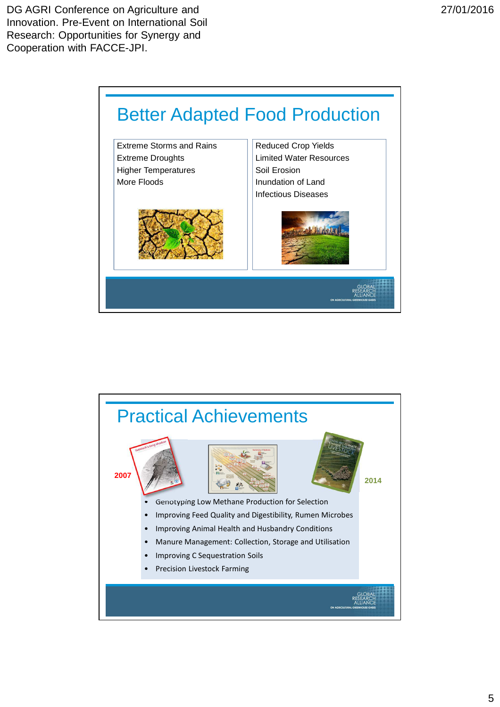